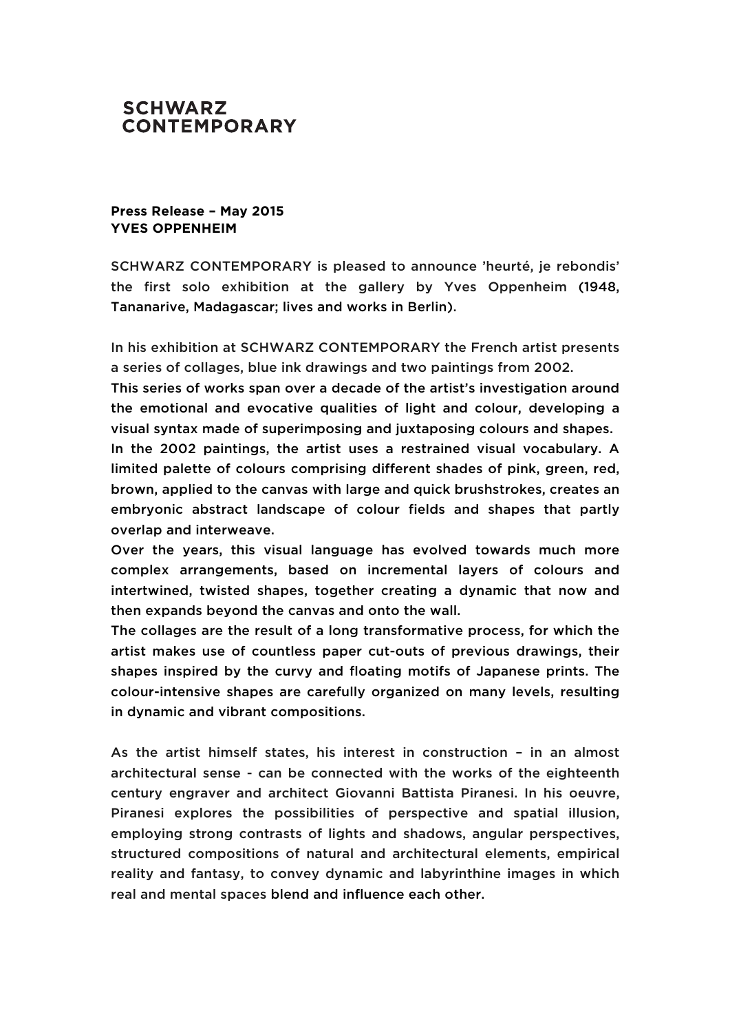## **SCHWARZ CONTEMPORARY**

## **Press Release – May 2015 YVES OPPENHEIM**

SCHWARZ CONTEMPORARY is pleased to announce 'heurté, je rebondis' the first solo exhibition at the gallery by Yves Oppenheim (1948, Tananarive, Madagascar; lives and works in Berlin).

In his exhibition at SCHWARZ CONTEMPORARY the French artist presents a series of collages, blue ink drawings and two paintings from 2002.

This series of works span over a decade of the artist's investigation around the emotional and evocative qualities of light and colour, developing a visual syntax made of superimposing and juxtaposing colours and shapes. In the 2002 paintings, the artist uses a restrained visual vocabulary. A limited palette of colours comprising different shades of pink, green, red, brown, applied to the canvas with large and quick brushstrokes, creates an

embryonic abstract landscape of colour fields and shapes that partly overlap and interweave.

Over the years, this visual language has evolved towards much more complex arrangements, based on incremental layers of colours and intertwined, twisted shapes, together creating a dynamic that now and then expands beyond the canvas and onto the wall.

The collages are the result of a long transformative process, for which the artist makes use of countless paper cut-outs of previous drawings, their shapes inspired by the curvy and floating motifs of Japanese prints. The colour-intensive shapes are carefully organized on many levels, resulting in dynamic and vibrant compositions.

As the artist himself states, his interest in construction – in an almost architectural sense - can be connected with the works of the eighteenth century engraver and architect Giovanni Battista Piranesi. In his oeuvre, Piranesi explores the possibilities of perspective and spatial illusion, employing strong contrasts of lights and shadows, angular perspectives, structured compositions of natural and architectural elements, empirical reality and fantasy, to convey dynamic and labyrinthine images in which real and mental spaces blend and influence each other.